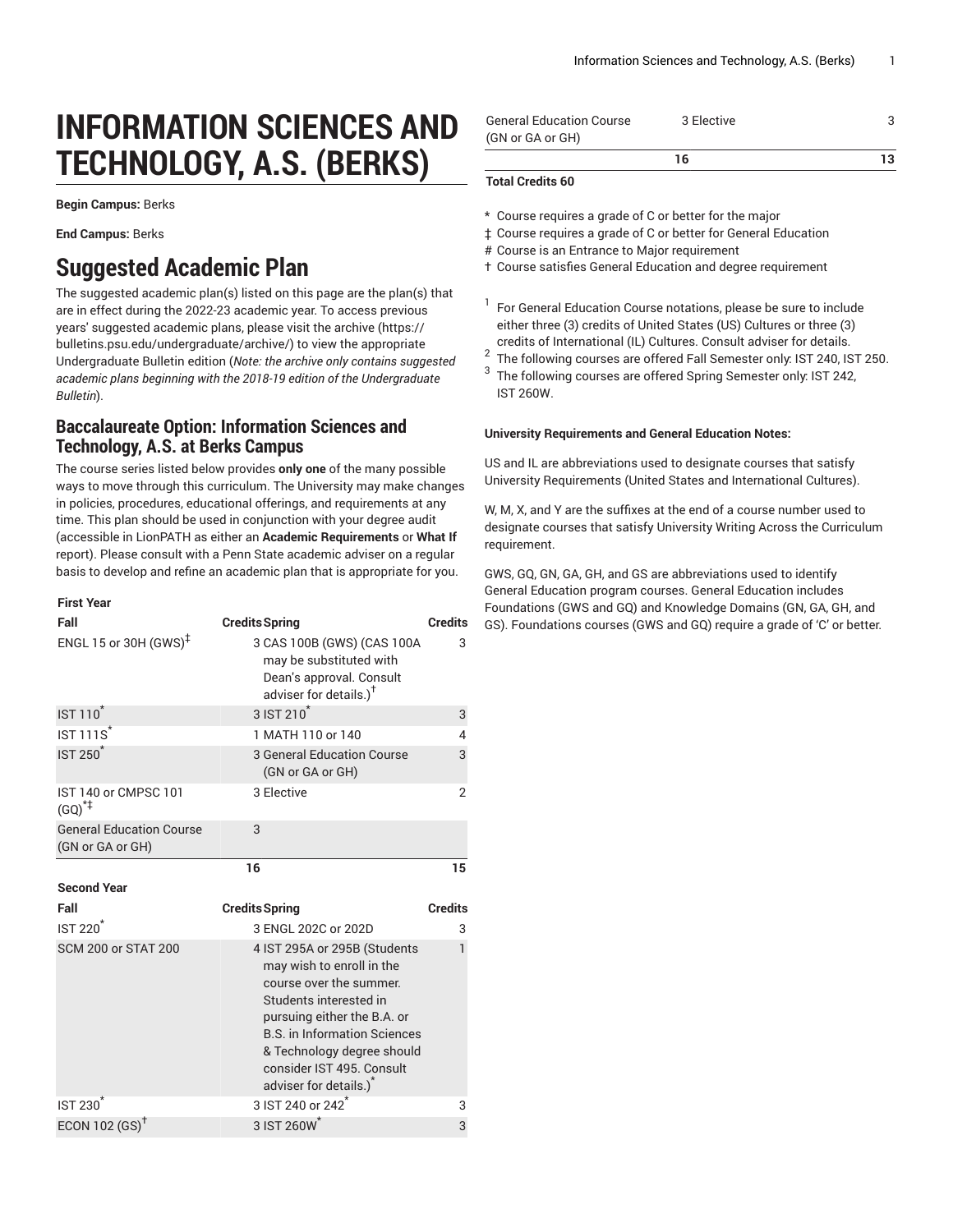# **INFORMATION SCIENCES AND TECHNOLOGY, A.S. (BERKS)**

**Begin Campus:** Berks

**End Campus:** Berks

## **Suggested Academic Plan**

The suggested academic plan(s) listed on this page are the plan(s) that are in effect during the 2022-23 academic year. To access previous years' suggested academic plans, please visit the [archive](https://bulletins.psu.edu/undergraduate/archive/) ([https://](https://bulletins.psu.edu/undergraduate/archive/) [bulletins.psu.edu/undergraduate/archive/](https://bulletins.psu.edu/undergraduate/archive/)) to view the appropriate Undergraduate Bulletin edition (*Note: the archive only contains suggested academic plans beginning with the 2018-19 edition of the Undergraduate Bulletin*).

## **Baccalaureate Option: Information Sciences and Technology, A.S. at Berks Campus**

The course series listed below provides **only one** of the many possible ways to move through this curriculum. The University may make changes in policies, procedures, educational offerings, and requirements at any time. This plan should be used in conjunction with your degree audit (accessible in LionPATH as either an **Academic Requirements** or **What If** report). Please consult with a Penn State academic adviser on a regular basis to develop and refine an academic plan that is appropriate for you.

#### **First Year**

| Fall                                                | <b>Credits Spring</b>                                                                                                                                                                                                                                                    | <b>Credits</b> |
|-----------------------------------------------------|--------------------------------------------------------------------------------------------------------------------------------------------------------------------------------------------------------------------------------------------------------------------------|----------------|
| ENGL 15 or 30H $(GWS)^{\ddagger}$                   | 3 CAS 100B (GWS) (CAS 100A<br>may be substituted with<br>Dean's approval. Consult<br>adviser for details.) <sup>†</sup>                                                                                                                                                  | 3              |
| <b>IST 110</b>                                      | 3 IST 210 <sup>*</sup>                                                                                                                                                                                                                                                   | 3              |
| <b>IST 111S</b>                                     | 1 MATH 110 or 140                                                                                                                                                                                                                                                        | 4              |
| <b>IST 250<sup>*</sup></b>                          | 3 General Education Course<br>(GN or GA or GH)                                                                                                                                                                                                                           | 3              |
| IST 140 or CMPSC 101<br>$(GQ)^{+}$                  | 3 Elective                                                                                                                                                                                                                                                               | $\mathfrak{p}$ |
| <b>General Education Course</b><br>(GN or GA or GH) | 3                                                                                                                                                                                                                                                                        |                |
|                                                     | 16                                                                                                                                                                                                                                                                       | 15             |
|                                                     |                                                                                                                                                                                                                                                                          |                |
| <b>Second Year</b>                                  |                                                                                                                                                                                                                                                                          |                |
| Fall                                                | <b>Credits Spring</b>                                                                                                                                                                                                                                                    | <b>Credits</b> |
| <b>IST 220<sup>*</sup></b>                          | 3 ENGL 202C or 202D                                                                                                                                                                                                                                                      | 3              |
| <b>SCM 200 or STAT 200</b>                          | 4 IST 295A or 295B (Students<br>may wish to enroll in the<br>course over the summer.<br>Students interested in<br>pursuing either the B.A. or<br><b>B.S. in Information Sciences</b><br>& Technology degree should<br>consider IST 495, Consult<br>adviser for details.) | 1              |
| IST 230 <sup>°</sup>                                | 3 IST 240 or 242 <sup>*</sup><br>3 IST 260W*                                                                                                                                                                                                                             | 3              |

| <b>General Education Course</b> | 3 Elective |    |
|---------------------------------|------------|----|
| (GN or GA or GH)                |            |    |
|                                 | 16.        | 13 |

#### **Total Credits 60**

- \* Course requires a grade of C or better for the major
- ‡ Course requires a grade of C or better for General Education
- # Course is an Entrance to Major requirement
- † Course satisfies General Education and degree requirement
- 1 For General Education Course notations, please be sure to include either three (3) credits of United States (US) Cultures or three (3) credits of International (IL) Cultures. Consult adviser for details.
- 2 The following courses are offered Fall Semester only: IST 240, IST 250.
- 3 The following courses are offered Spring Semester only: IST 242, IST 260W.

#### **University Requirements and General Education Notes:**

US and IL are abbreviations used to designate courses that satisfy University Requirements (United States and International Cultures).

W, M, X, and Y are the suffixes at the end of a course number used to designate courses that satisfy University Writing Across the Curriculum requirement.

GWS, GQ, GN, GA, GH, and GS are abbreviations used to identify General Education program courses. General Education includes Foundations (GWS and GQ) and Knowledge Domains (GN, GA, GH, and GS). Foundations courses (GWS and GQ) require a grade of 'C' or better.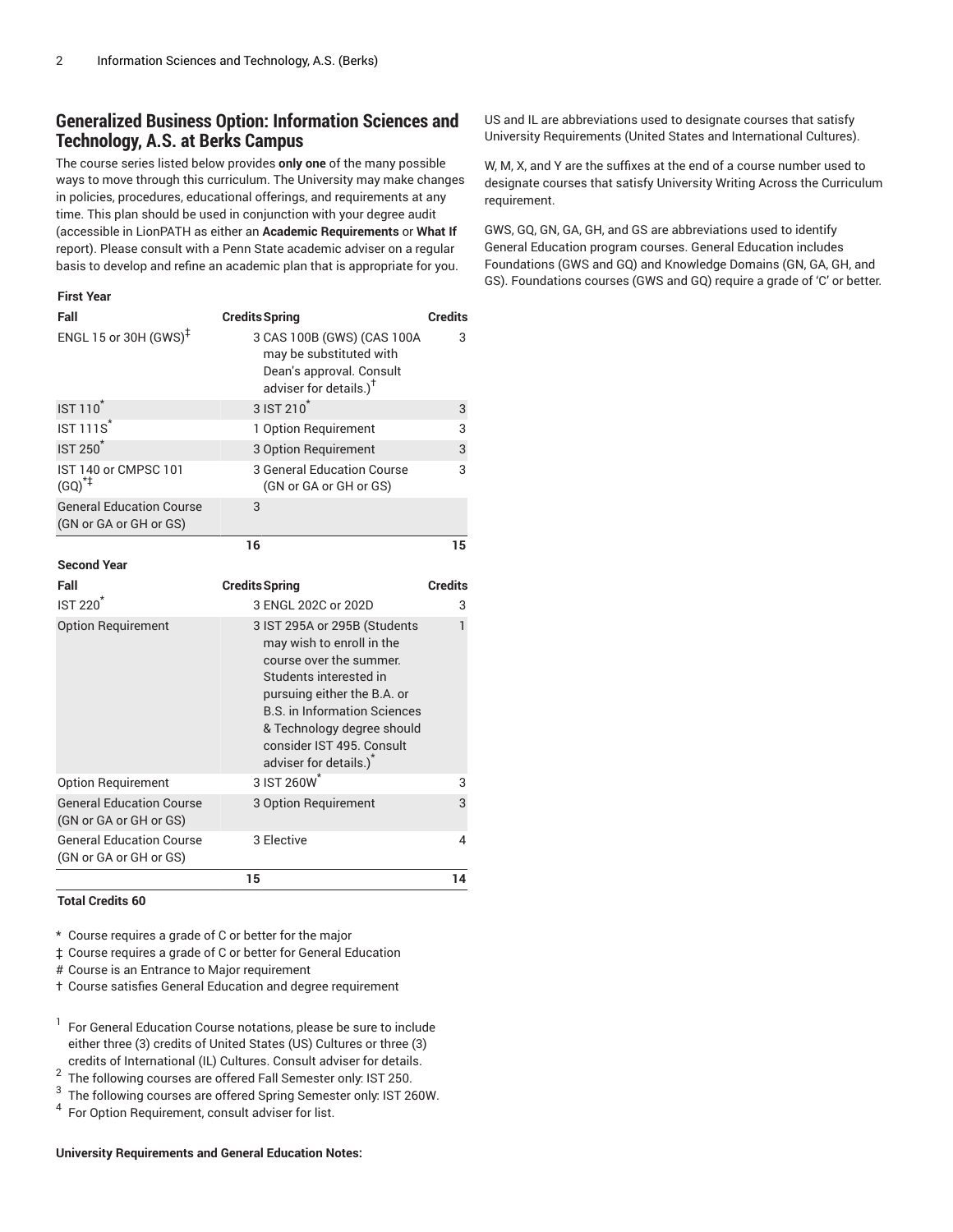## **Generalized Business Option: Information Sciences and Technology, A.S. at Berks Campus**

The course series listed below provides **only one** of the many possible ways to move through this curriculum. The University may make changes in policies, procedures, educational offerings, and requirements at any time. This plan should be used in conjunction with your degree audit (accessible in LionPATH as either an **Academic Requirements** or **What If** report). Please consult with a Penn State academic adviser on a regular basis to develop and refine an academic plan that is appropriate for you.

#### **First Year**

| Fall                                                      | <b>Credits Spring</b>                                                                                                                                                                                                                                                                 | <b>Credits</b> |
|-----------------------------------------------------------|---------------------------------------------------------------------------------------------------------------------------------------------------------------------------------------------------------------------------------------------------------------------------------------|----------------|
| ENGL 15 or 30H $(GWS)^{\ddagger}$                         | 3 CAS 100B (GWS) (CAS 100A<br>may be substituted with<br>Dean's approval. Consult<br>adviser for details.) <sup>†</sup>                                                                                                                                                               | 3              |
| <b>IST 110</b>                                            | 3 IST 210 <sup>*</sup>                                                                                                                                                                                                                                                                | 3              |
| $IST 111S^*$                                              | 1 Option Requirement                                                                                                                                                                                                                                                                  | 3              |
| <b>IST 250<sup>*</sup></b>                                | 3 Option Requirement                                                                                                                                                                                                                                                                  | 3              |
| IST 140 or CMPSC 101<br>$(GQ)^{*+}$                       | 3 General Education Course<br>(GN or GA or GH or GS)                                                                                                                                                                                                                                  | 3              |
| <b>General Education Course</b><br>(GN or GA or GH or GS) | 3                                                                                                                                                                                                                                                                                     |                |
|                                                           | 16                                                                                                                                                                                                                                                                                    | 15             |
| <b>Second Year</b>                                        |                                                                                                                                                                                                                                                                                       |                |
| Fall                                                      | <b>Credits Spring</b>                                                                                                                                                                                                                                                                 | <b>Credits</b> |
| $IST 220*$                                                | 3 ENGL 202C or 202D                                                                                                                                                                                                                                                                   | 3              |
| <b>Option Requirement</b>                                 | 3 IST 295A or 295B (Students<br>may wish to enroll in the<br>course over the summer.<br>Students interested in<br>pursuing either the B.A. or<br><b>B.S. in Information Sciences</b><br>& Technology degree should<br>consider IST 495. Consult<br>adviser for details.) <sup>*</sup> | 1              |
| <b>Option Requirement</b>                                 | 3 IST 260W <sup>*</sup>                                                                                                                                                                                                                                                               | 3              |
| <b>General Education Course</b><br>(GN or GA or GH or GS) | 3 Option Requirement                                                                                                                                                                                                                                                                  | 3              |
| <b>General Education Course</b><br>(GN or GA or GH or GS) | 3 Elective                                                                                                                                                                                                                                                                            | 4              |
|                                                           | 15                                                                                                                                                                                                                                                                                    | 14             |

**Total Credits 60**

\* Course requires a grade of C or better for the major

‡ Course requires a grade of C or better for General Education

# Course is an Entrance to Major requirement

† Course satisfies General Education and degree requirement

<sup>1</sup> For General Education Course notations, please be sure to include either three (3) credits of United States (US) Cultures or three (3) credits of International (IL) Cultures. Consult adviser for details.

2 The following courses are offered Fall Semester only: IST 250.

3 The following courses are offered Spring Semester only: IST 260W.

<sup>4</sup> For Option Requirement, consult adviser for list.

#### **University Requirements and General Education Notes:**

US and IL are abbreviations used to designate courses that satisfy University Requirements (United States and International Cultures).

W, M, X, and Y are the suffixes at the end of a course number used to designate courses that satisfy University Writing Across the Curriculum requirement.

GWS, GQ, GN, GA, GH, and GS are abbreviations used to identify General Education program courses. General Education includes Foundations (GWS and GQ) and Knowledge Domains (GN, GA, GH, and GS). Foundations courses (GWS and GQ) require a grade of 'C' or better.